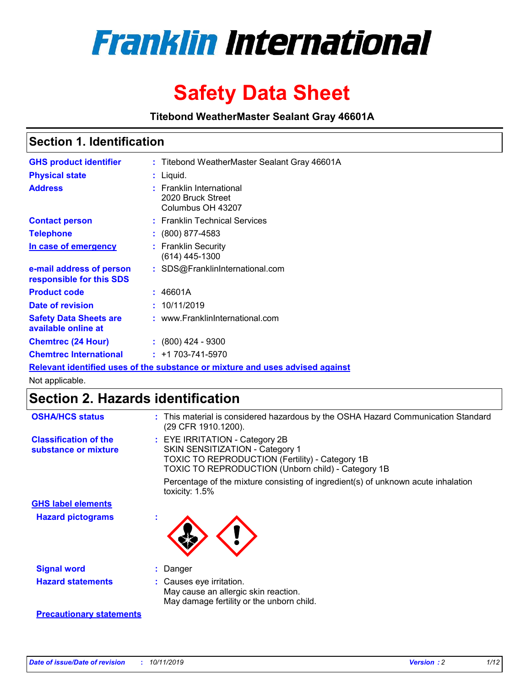

# **Safety Data Sheet**

**Titebond WeatherMaster Sealant Gray 46601A**

### **Section 1. Identification**

| <b>GHS product identifier</b>                        | : Titebond WeatherMaster Sealant Gray 46601A                                  |
|------------------------------------------------------|-------------------------------------------------------------------------------|
| <b>Physical state</b>                                | : Liquid.                                                                     |
| <b>Address</b>                                       | : Franklin International<br>2020 Bruck Street<br>Columbus OH 43207            |
| <b>Contact person</b>                                | : Franklin Technical Services                                                 |
| <b>Telephone</b>                                     | $\colon$ (800) 877-4583                                                       |
| In case of emergency                                 | : Franklin Security<br>(614) 445-1300                                         |
| e-mail address of person<br>responsible for this SDS | : SDS@FranklinInternational.com                                               |
| <b>Product code</b>                                  | : 46601A                                                                      |
| Date of revision                                     | : 10/11/2019                                                                  |
| <b>Safety Data Sheets are</b><br>available online at | : www.FranklinInternational.com                                               |
| <b>Chemtrec (24 Hour)</b>                            | $: (800)$ 424 - 9300                                                          |
| <b>Chemtrec International</b>                        | $: +1703 - 741 - 5970$                                                        |
|                                                      | Relevant identified uses of the substance or mixture and uses advised against |

Not applicable.

## **Section 2. Hazards identification**

| <b>OSHA/HCS status</b>                               | : This material is considered hazardous by the OSHA Hazard Communication Standard<br>(29 CFR 1910.1200).                                                                          |
|------------------------------------------------------|-----------------------------------------------------------------------------------------------------------------------------------------------------------------------------------|
| <b>Classification of the</b><br>substance or mixture | : EYE IRRITATION - Category 2B<br>SKIN SENSITIZATION - Category 1<br><b>TOXIC TO REPRODUCTION (Fertility) - Category 1B</b><br>TOXIC TO REPRODUCTION (Unborn child) - Category 1B |
|                                                      | Percentage of the mixture consisting of ingredient(s) of unknown acute inhalation<br>toxicity: $1.5\%$                                                                            |
| <b>GHS label elements</b>                            |                                                                                                                                                                                   |
| <b>Hazard pictograms</b>                             |                                                                                                                                                                                   |
| <b>Signal word</b>                                   | : Danger                                                                                                                                                                          |
| <b>Hazard statements</b>                             | : Causes eye irritation.<br>May cause an allergic skin reaction.<br>May damage fertility or the unborn child.                                                                     |
| <b>Precautionary statements</b>                      |                                                                                                                                                                                   |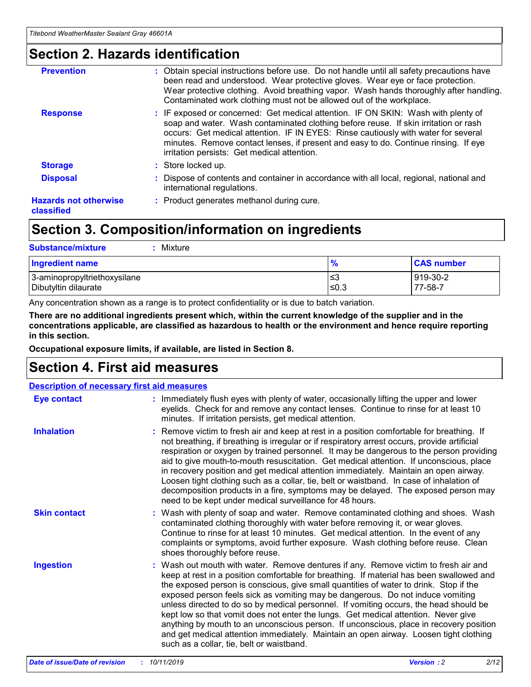### **Section 2. Hazards identification**

| <b>Prevention</b>                          | : Obtain special instructions before use. Do not handle until all safety precautions have<br>been read and understood. Wear protective gloves. Wear eye or face protection.<br>Wear protective clothing. Avoid breathing vapor. Wash hands thoroughly after handling.<br>Contaminated work clothing must not be allowed out of the workplace.                                                        |
|--------------------------------------------|------------------------------------------------------------------------------------------------------------------------------------------------------------------------------------------------------------------------------------------------------------------------------------------------------------------------------------------------------------------------------------------------------|
| <b>Response</b>                            | : IF exposed or concerned: Get medical attention. IF ON SKIN: Wash with plenty of<br>soap and water. Wash contaminated clothing before reuse. If skin irritation or rash<br>occurs: Get medical attention. IF IN EYES: Rinse cautiously with water for several<br>minutes. Remove contact lenses, if present and easy to do. Continue rinsing. If eye<br>irritation persists: Get medical attention. |
| <b>Storage</b>                             | : Store locked up.                                                                                                                                                                                                                                                                                                                                                                                   |
| <b>Disposal</b>                            | : Dispose of contents and container in accordance with all local, regional, national and<br>international regulations.                                                                                                                                                                                                                                                                               |
| <b>Hazards not otherwise</b><br>classified | : Product generates methanol during cure.                                                                                                                                                                                                                                                                                                                                                            |
|                                            |                                                                                                                                                                                                                                                                                                                                                                                                      |

### **Section 3. Composition/information on ingredients**

| <b>Substance/mixture</b><br>: Mixture                |               |                     |
|------------------------------------------------------|---------------|---------------------|
| Ingredient name                                      | $\frac{9}{6}$ | <b>CAS number</b>   |
| 3-aminopropyltriethoxysilane<br>Dibutyltin dilaurate | צ≥<br>≤0.3    | 919-30-2<br>77-58-7 |

Any concentration shown as a range is to protect confidentiality or is due to batch variation.

**There are no additional ingredients present which, within the current knowledge of the supplier and in the concentrations applicable, are classified as hazardous to health or the environment and hence require reporting in this section.**

**Occupational exposure limits, if available, are listed in Section 8.**

### **Section 4. First aid measures**

| <b>Description of necessary first aid measures</b> |                                                                                                                                                                                                                                                                                                                                                                                                                                                                                                                                                                                                                                                                                                                                                                           |  |  |  |
|----------------------------------------------------|---------------------------------------------------------------------------------------------------------------------------------------------------------------------------------------------------------------------------------------------------------------------------------------------------------------------------------------------------------------------------------------------------------------------------------------------------------------------------------------------------------------------------------------------------------------------------------------------------------------------------------------------------------------------------------------------------------------------------------------------------------------------------|--|--|--|
| <b>Eye contact</b>                                 | : Immediately flush eyes with plenty of water, occasionally lifting the upper and lower<br>eyelids. Check for and remove any contact lenses. Continue to rinse for at least 10<br>minutes. If irritation persists, get medical attention.                                                                                                                                                                                                                                                                                                                                                                                                                                                                                                                                 |  |  |  |
| <b>Inhalation</b>                                  | : Remove victim to fresh air and keep at rest in a position comfortable for breathing. If<br>not breathing, if breathing is irregular or if respiratory arrest occurs, provide artificial<br>respiration or oxygen by trained personnel. It may be dangerous to the person providing<br>aid to give mouth-to-mouth resuscitation. Get medical attention. If unconscious, place<br>in recovery position and get medical attention immediately. Maintain an open airway.<br>Loosen tight clothing such as a collar, tie, belt or waistband. In case of inhalation of<br>decomposition products in a fire, symptoms may be delayed. The exposed person may<br>need to be kept under medical surveillance for 48 hours.                                                       |  |  |  |
| <b>Skin contact</b>                                | : Wash with plenty of soap and water. Remove contaminated clothing and shoes. Wash<br>contaminated clothing thoroughly with water before removing it, or wear gloves.<br>Continue to rinse for at least 10 minutes. Get medical attention. In the event of any<br>complaints or symptoms, avoid further exposure. Wash clothing before reuse. Clean<br>shoes thoroughly before reuse.                                                                                                                                                                                                                                                                                                                                                                                     |  |  |  |
| <b>Ingestion</b>                                   | : Wash out mouth with water. Remove dentures if any. Remove victim to fresh air and<br>keep at rest in a position comfortable for breathing. If material has been swallowed and<br>the exposed person is conscious, give small quantities of water to drink. Stop if the<br>exposed person feels sick as vomiting may be dangerous. Do not induce vomiting<br>unless directed to do so by medical personnel. If vomiting occurs, the head should be<br>kept low so that vomit does not enter the lungs. Get medical attention. Never give<br>anything by mouth to an unconscious person. If unconscious, place in recovery position<br>and get medical attention immediately. Maintain an open airway. Loosen tight clothing<br>such as a collar, tie, belt or waistband. |  |  |  |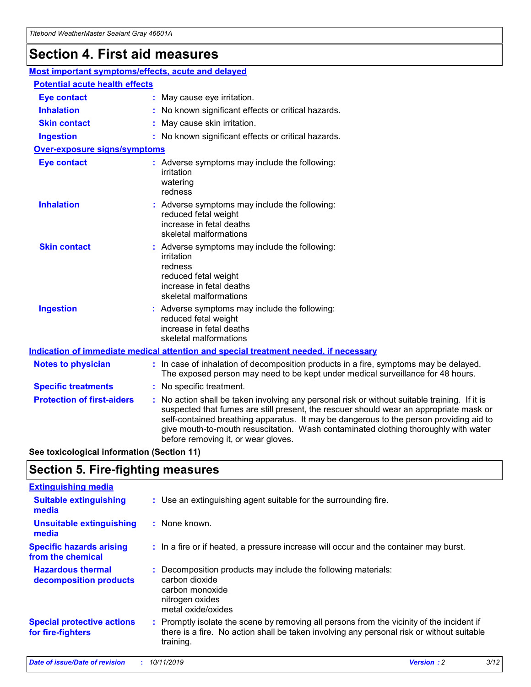## **Section 4. First aid measures**

| Most important symptoms/effects, acute and delayed |                                       |                                                                                                                                                                                                                                                                                                                                                                                                                 |  |  |  |
|----------------------------------------------------|---------------------------------------|-----------------------------------------------------------------------------------------------------------------------------------------------------------------------------------------------------------------------------------------------------------------------------------------------------------------------------------------------------------------------------------------------------------------|--|--|--|
|                                                    | <b>Potential acute health effects</b> |                                                                                                                                                                                                                                                                                                                                                                                                                 |  |  |  |
| <b>Eye contact</b>                                 |                                       | : May cause eye irritation.                                                                                                                                                                                                                                                                                                                                                                                     |  |  |  |
| <b>Inhalation</b>                                  |                                       | : No known significant effects or critical hazards.                                                                                                                                                                                                                                                                                                                                                             |  |  |  |
| <b>Skin contact</b>                                |                                       | : May cause skin irritation.                                                                                                                                                                                                                                                                                                                                                                                    |  |  |  |
| <b>Ingestion</b>                                   |                                       | : No known significant effects or critical hazards.                                                                                                                                                                                                                                                                                                                                                             |  |  |  |
| <b>Over-exposure signs/symptoms</b>                |                                       |                                                                                                                                                                                                                                                                                                                                                                                                                 |  |  |  |
| <b>Eye contact</b>                                 |                                       | : Adverse symptoms may include the following:<br>irritation<br>watering<br>redness                                                                                                                                                                                                                                                                                                                              |  |  |  |
| <b>Inhalation</b>                                  |                                       | : Adverse symptoms may include the following:<br>reduced fetal weight<br>increase in fetal deaths<br>skeletal malformations                                                                                                                                                                                                                                                                                     |  |  |  |
| <b>Skin contact</b>                                |                                       | : Adverse symptoms may include the following:<br>irritation<br>redness<br>reduced fetal weight<br>increase in fetal deaths<br>skeletal malformations                                                                                                                                                                                                                                                            |  |  |  |
| <b>Ingestion</b>                                   |                                       | : Adverse symptoms may include the following:<br>reduced fetal weight<br>increase in fetal deaths<br>skeletal malformations                                                                                                                                                                                                                                                                                     |  |  |  |
|                                                    |                                       | <b>Indication of immediate medical attention and special treatment needed, if necessary</b>                                                                                                                                                                                                                                                                                                                     |  |  |  |
| <b>Notes to physician</b>                          |                                       | : In case of inhalation of decomposition products in a fire, symptoms may be delayed.<br>The exposed person may need to be kept under medical surveillance for 48 hours.                                                                                                                                                                                                                                        |  |  |  |
| <b>Specific treatments</b>                         |                                       | : No specific treatment.                                                                                                                                                                                                                                                                                                                                                                                        |  |  |  |
| <b>Protection of first-aiders</b>                  |                                       | : No action shall be taken involving any personal risk or without suitable training. If it is<br>suspected that fumes are still present, the rescuer should wear an appropriate mask or<br>self-contained breathing apparatus. It may be dangerous to the person providing aid to<br>give mouth-to-mouth resuscitation. Wash contaminated clothing thoroughly with water<br>before removing it, or wear gloves. |  |  |  |

**See toxicological information (Section 11)**

### **Section 5. Fire-fighting measures**

| <b>Extinguishing media</b>                             |                                                                                                                                                                                                     |
|--------------------------------------------------------|-----------------------------------------------------------------------------------------------------------------------------------------------------------------------------------------------------|
| <b>Suitable extinguishing</b><br>media                 | : Use an extinguishing agent suitable for the surrounding fire.                                                                                                                                     |
| <b>Unsuitable extinguishing</b><br>media               | $:$ None known.                                                                                                                                                                                     |
| <b>Specific hazards arising</b><br>from the chemical   | : In a fire or if heated, a pressure increase will occur and the container may burst.                                                                                                               |
| <b>Hazardous thermal</b><br>decomposition products     | : Decomposition products may include the following materials:<br>carbon dioxide<br>carbon monoxide<br>nitrogen oxides<br>metal oxide/oxides                                                         |
| <b>Special protective actions</b><br>for fire-fighters | : Promptly isolate the scene by removing all persons from the vicinity of the incident if<br>there is a fire. No action shall be taken involving any personal risk or without suitable<br>training. |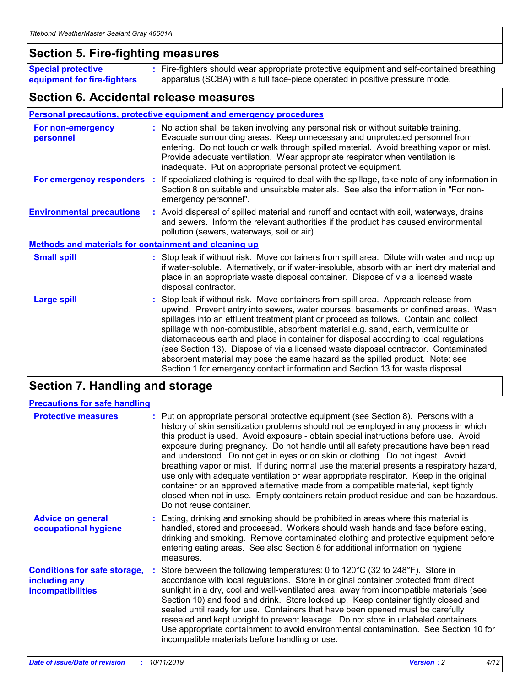### **Section 5. Fire-fighting measures**

**Special protective equipment for fire-fighters** Fire-fighters should wear appropriate protective equipment and self-contained breathing **:** apparatus (SCBA) with a full face-piece operated in positive pressure mode.

### **Section 6. Accidental release measures**

#### **Personal precautions, protective equipment and emergency procedures**

| For non-emergency<br>personnel                               | : No action shall be taken involving any personal risk or without suitable training.<br>Evacuate surrounding areas. Keep unnecessary and unprotected personnel from<br>entering. Do not touch or walk through spilled material. Avoid breathing vapor or mist.<br>Provide adequate ventilation. Wear appropriate respirator when ventilation is<br>inadequate. Put on appropriate personal protective equipment.                                                                                                                                                                                                                                                                                             |
|--------------------------------------------------------------|--------------------------------------------------------------------------------------------------------------------------------------------------------------------------------------------------------------------------------------------------------------------------------------------------------------------------------------------------------------------------------------------------------------------------------------------------------------------------------------------------------------------------------------------------------------------------------------------------------------------------------------------------------------------------------------------------------------|
|                                                              | For emergency responders : If specialized clothing is required to deal with the spillage, take note of any information in<br>Section 8 on suitable and unsuitable materials. See also the information in "For non-<br>emergency personnel".                                                                                                                                                                                                                                                                                                                                                                                                                                                                  |
| <b>Environmental precautions</b>                             | : Avoid dispersal of spilled material and runoff and contact with soil, waterways, drains<br>and sewers. Inform the relevant authorities if the product has caused environmental<br>pollution (sewers, waterways, soil or air).                                                                                                                                                                                                                                                                                                                                                                                                                                                                              |
| <b>Methods and materials for containment and cleaning up</b> |                                                                                                                                                                                                                                                                                                                                                                                                                                                                                                                                                                                                                                                                                                              |
| <b>Small spill</b>                                           | : Stop leak if without risk. Move containers from spill area. Dilute with water and mop up<br>if water-soluble. Alternatively, or if water-insoluble, absorb with an inert dry material and<br>place in an appropriate waste disposal container. Dispose of via a licensed waste<br>disposal contractor.                                                                                                                                                                                                                                                                                                                                                                                                     |
| <b>Large spill</b>                                           | : Stop leak if without risk. Move containers from spill area. Approach release from<br>upwind. Prevent entry into sewers, water courses, basements or confined areas. Wash<br>spillages into an effluent treatment plant or proceed as follows. Contain and collect<br>spillage with non-combustible, absorbent material e.g. sand, earth, vermiculite or<br>diatomaceous earth and place in container for disposal according to local regulations<br>(see Section 13). Dispose of via a licensed waste disposal contractor. Contaminated<br>absorbent material may pose the same hazard as the spilled product. Note: see<br>Section 1 for emergency contact information and Section 13 for waste disposal. |

### **Section 7. Handling and storage**

| <b>Precautions for safe handling</b>                                             |                                                                                                                                                                                                                                                                                                                                                                                                                                                                                                                                                                                                                                                                                                                                                                                                                                                  |
|----------------------------------------------------------------------------------|--------------------------------------------------------------------------------------------------------------------------------------------------------------------------------------------------------------------------------------------------------------------------------------------------------------------------------------------------------------------------------------------------------------------------------------------------------------------------------------------------------------------------------------------------------------------------------------------------------------------------------------------------------------------------------------------------------------------------------------------------------------------------------------------------------------------------------------------------|
| <b>Protective measures</b>                                                       | : Put on appropriate personal protective equipment (see Section 8). Persons with a<br>history of skin sensitization problems should not be employed in any process in which<br>this product is used. Avoid exposure - obtain special instructions before use. Avoid<br>exposure during pregnancy. Do not handle until all safety precautions have been read<br>and understood. Do not get in eyes or on skin or clothing. Do not ingest. Avoid<br>breathing vapor or mist. If during normal use the material presents a respiratory hazard,<br>use only with adequate ventilation or wear appropriate respirator. Keep in the original<br>container or an approved alternative made from a compatible material, kept tightly<br>closed when not in use. Empty containers retain product residue and can be hazardous.<br>Do not reuse container. |
| <b>Advice on general</b><br>occupational hygiene                                 | : Eating, drinking and smoking should be prohibited in areas where this material is<br>handled, stored and processed. Workers should wash hands and face before eating,<br>drinking and smoking. Remove contaminated clothing and protective equipment before<br>entering eating areas. See also Section 8 for additional information on hygiene<br>measures.                                                                                                                                                                                                                                                                                                                                                                                                                                                                                    |
| <b>Conditions for safe storage,</b><br>including any<br><b>incompatibilities</b> | Store between the following temperatures: 0 to 120°C (32 to 248°F). Store in<br>accordance with local regulations. Store in original container protected from direct<br>sunlight in a dry, cool and well-ventilated area, away from incompatible materials (see<br>Section 10) and food and drink. Store locked up. Keep container tightly closed and<br>sealed until ready for use. Containers that have been opened must be carefully<br>resealed and kept upright to prevent leakage. Do not store in unlabeled containers.<br>Use appropriate containment to avoid environmental contamination. See Section 10 for<br>incompatible materials before handling or use.                                                                                                                                                                         |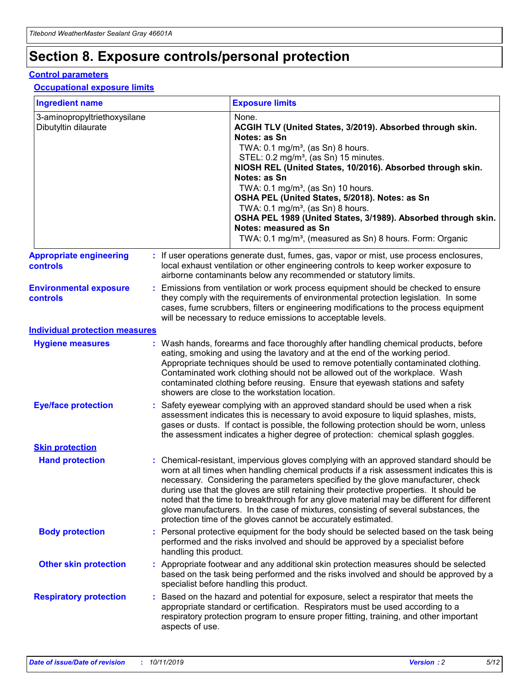## **Section 8. Exposure controls/personal protection**

#### **Control parameters**

#### **Occupational exposure limits**

| <b>Ingredient name</b>                               |    |                        | <b>Exposure limits</b>                                                                                                                                                                                                                                                                                                                                                                                                                                                                                                                                                                                                 |
|------------------------------------------------------|----|------------------------|------------------------------------------------------------------------------------------------------------------------------------------------------------------------------------------------------------------------------------------------------------------------------------------------------------------------------------------------------------------------------------------------------------------------------------------------------------------------------------------------------------------------------------------------------------------------------------------------------------------------|
| 3-aminopropyltriethoxysilane<br>Dibutyltin dilaurate |    |                        | None.<br>ACGIH TLV (United States, 3/2019). Absorbed through skin.<br>Notes: as Sn<br>TWA: $0.1 \text{ mg/m}^3$ , (as Sn) 8 hours.<br>STEL: 0.2 mg/m <sup>3</sup> , (as Sn) 15 minutes.<br>NIOSH REL (United States, 10/2016). Absorbed through skin.<br>Notes: as Sn<br>TWA: 0.1 mg/m <sup>3</sup> , (as Sn) 10 hours.<br>OSHA PEL (United States, 5/2018). Notes: as Sn<br>TWA: $0.1 \text{ mg/m}^3$ , (as Sn) 8 hours.<br>OSHA PEL 1989 (United States, 3/1989). Absorbed through skin.<br>Notes: measured as Sn<br>TWA: 0.1 mg/m <sup>3</sup> , (measured as Sn) 8 hours. Form: Organic                            |
| <b>Appropriate engineering</b><br>controls           |    |                        | : If user operations generate dust, fumes, gas, vapor or mist, use process enclosures,<br>local exhaust ventilation or other engineering controls to keep worker exposure to<br>airborne contaminants below any recommended or statutory limits.                                                                                                                                                                                                                                                                                                                                                                       |
| <b>Environmental exposure</b><br>controls            |    |                        | Emissions from ventilation or work process equipment should be checked to ensure<br>they comply with the requirements of environmental protection legislation. In some<br>cases, fume scrubbers, filters or engineering modifications to the process equipment<br>will be necessary to reduce emissions to acceptable levels.                                                                                                                                                                                                                                                                                          |
| <b>Individual protection measures</b>                |    |                        |                                                                                                                                                                                                                                                                                                                                                                                                                                                                                                                                                                                                                        |
| <b>Hygiene measures</b>                              |    |                        | : Wash hands, forearms and face thoroughly after handling chemical products, before<br>eating, smoking and using the lavatory and at the end of the working period.<br>Appropriate techniques should be used to remove potentially contaminated clothing.<br>Contaminated work clothing should not be allowed out of the workplace. Wash<br>contaminated clothing before reusing. Ensure that eyewash stations and safety<br>showers are close to the workstation location.                                                                                                                                            |
| <b>Eye/face protection</b>                           |    |                        | : Safety eyewear complying with an approved standard should be used when a risk<br>assessment indicates this is necessary to avoid exposure to liquid splashes, mists,<br>gases or dusts. If contact is possible, the following protection should be worn, unless<br>the assessment indicates a higher degree of protection: chemical splash goggles.                                                                                                                                                                                                                                                                  |
| <b>Skin protection</b>                               |    |                        |                                                                                                                                                                                                                                                                                                                                                                                                                                                                                                                                                                                                                        |
| <b>Hand protection</b>                               |    |                        | : Chemical-resistant, impervious gloves complying with an approved standard should be<br>worn at all times when handling chemical products if a risk assessment indicates this is<br>necessary. Considering the parameters specified by the glove manufacturer, check<br>during use that the gloves are still retaining their protective properties. It should be<br>noted that the time to breakthrough for any glove material may be different for different<br>glove manufacturers. In the case of mixtures, consisting of several substances, the<br>protection time of the gloves cannot be accurately estimated. |
| <b>Body protection</b>                               |    | handling this product. | Personal protective equipment for the body should be selected based on the task being<br>performed and the risks involved and should be approved by a specialist before                                                                                                                                                                                                                                                                                                                                                                                                                                                |
| <b>Other skin protection</b>                         |    |                        | : Appropriate footwear and any additional skin protection measures should be selected<br>based on the task being performed and the risks involved and should be approved by a<br>specialist before handling this product.                                                                                                                                                                                                                                                                                                                                                                                              |
| <b>Respiratory protection</b>                        | ÷. | aspects of use.        | Based on the hazard and potential for exposure, select a respirator that meets the<br>appropriate standard or certification. Respirators must be used according to a<br>respiratory protection program to ensure proper fitting, training, and other important                                                                                                                                                                                                                                                                                                                                                         |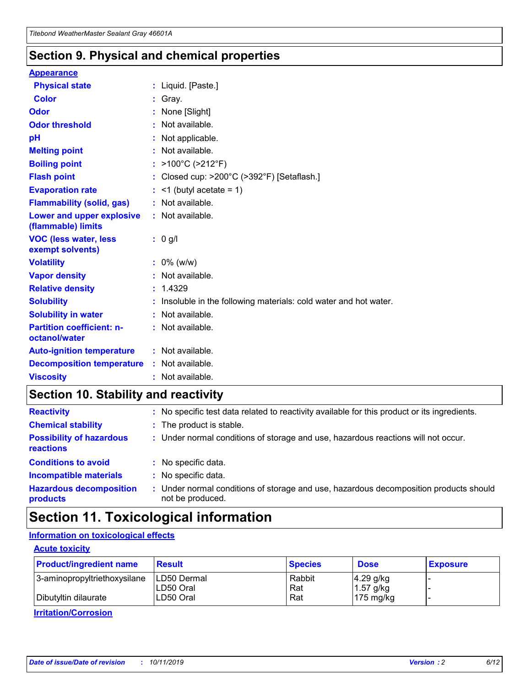### **Section 9. Physical and chemical properties**

#### **Appearance**

| <b>Physical state</b>                             | : Liquid. [Paste.]                                                |
|---------------------------------------------------|-------------------------------------------------------------------|
| Color                                             | Gray.                                                             |
| Odor                                              | None [Slight]                                                     |
| <b>Odor threshold</b>                             | : Not available.                                                  |
| рH                                                | : Not applicable.                                                 |
| <b>Melting point</b>                              | : Not available.                                                  |
| <b>Boiling point</b>                              | : $>100^{\circ}$ C ( $>212^{\circ}$ F)                            |
| <b>Flash point</b>                                | : Closed cup: $>200^{\circ}$ C ( $>392^{\circ}$ F) [Setaflash.]   |
| <b>Evaporation rate</b>                           | $:$ <1 (butyl acetate = 1)                                        |
| <b>Flammability (solid, gas)</b>                  | : Not available.                                                  |
| Lower and upper explosive<br>(flammable) limits   | : Not available.                                                  |
| <b>VOC (less water, less</b><br>exempt solvents)  | $: 0$ g/l                                                         |
| <b>Volatility</b>                                 | $: 0\%$ (w/w)                                                     |
| <b>Vapor density</b>                              | : Not available.                                                  |
| <b>Relative density</b>                           | : 1.4329                                                          |
| <b>Solubility</b>                                 | : Insoluble in the following materials: cold water and hot water. |
| <b>Solubility in water</b>                        | : Not available.                                                  |
| <b>Partition coefficient: n-</b><br>octanol/water | : Not available.                                                  |
| <b>Auto-ignition temperature</b>                  | $:$ Not available.                                                |
| <b>Decomposition temperature</b>                  | : Not available.                                                  |
| <b>Viscosity</b>                                  | : Not available.                                                  |

### **Section 10. Stability and reactivity**

| <b>Reactivity</b>                            |    | : No specific test data related to reactivity available for this product or its ingredients.            |
|----------------------------------------------|----|---------------------------------------------------------------------------------------------------------|
| <b>Chemical stability</b>                    |    | : The product is stable.                                                                                |
| <b>Possibility of hazardous</b><br>reactions |    | : Under normal conditions of storage and use, hazardous reactions will not occur.                       |
| <b>Conditions to avoid</b>                   |    | : No specific data.                                                                                     |
| <b>Incompatible materials</b>                | ٠. | No specific data.                                                                                       |
| <b>Hazardous decomposition</b><br>products   | ÷. | Under normal conditions of storage and use, hazardous decomposition products should<br>not be produced. |

### **Section 11. Toxicological information**

#### **Information on toxicological effects**

#### **Acute toxicity**

| <b>Product/ingredient name</b> | <b>Result</b> | <b>Species</b> | <b>Dose</b>         | <b>Exposure</b> |
|--------------------------------|---------------|----------------|---------------------|-----------------|
| 3-aminopropyltriethoxysilane   | LD50 Dermal   | Rabbit         | $4.29$ g/kg         |                 |
|                                | ILD50 Oral    | Rat            | 1.57 g/kg           |                 |
| Dibutyltin dilaurate           | LD50 Oral     | Rat            | $175 \text{ mg/kg}$ |                 |

**Irritation/Corrosion**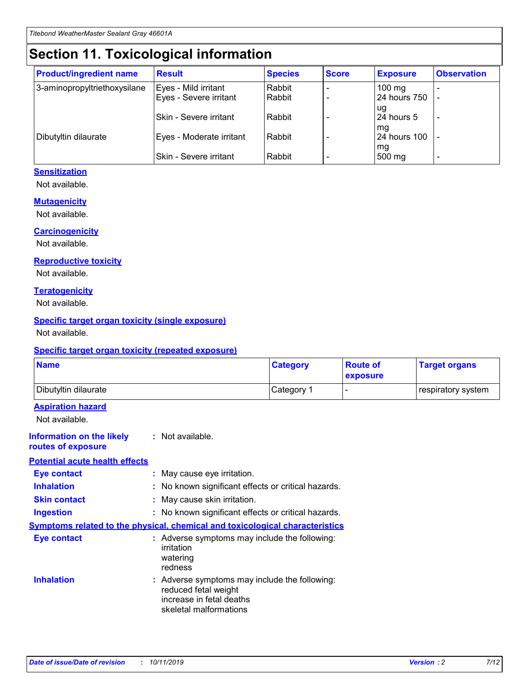## **Section 11. Toxicological information**

| <b>Product/ingredient name</b> | <b>Result</b>            | <b>Species</b> | <b>Score</b> | <b>Exposure</b>           | <b>Observation</b> |
|--------------------------------|--------------------------|----------------|--------------|---------------------------|--------------------|
| 3-aminopropyltriethoxysilane   | Eyes - Mild irritant     | Rabbit         |              | $100$ mg                  |                    |
|                                | Eyes - Severe irritant   | Rabbit         |              | 24 hours 750              |                    |
|                                |                          |                |              | ug                        |                    |
|                                | Skin - Severe irritant   | Rabbit         |              | 24 hours 5                | -                  |
| Dibutyltin dilaurate           | Eyes - Moderate irritant | Rabbit         |              | mq<br><b>24 hours 100</b> |                    |
|                                |                          |                |              | mg                        |                    |
|                                | Skin - Severe irritant   | Rabbit         |              | 500 mg                    |                    |

#### **Sensitization**

Not available.

#### **Mutagenicity**

Not available.

#### **Carcinogenicity**

Not available.

#### **Reproductive toxicity**

Not available.

#### **Teratogenicity**

Not available.

#### **Specific target organ toxicity (single exposure)**

Not available.

#### **Specific target organ toxicity (repeated exposure)**

| <b>Name</b>                                                                  |                                                                                                                             | <b>Category</b> | <b>Route of</b><br>exposure  | <b>Target organs</b> |
|------------------------------------------------------------------------------|-----------------------------------------------------------------------------------------------------------------------------|-----------------|------------------------------|----------------------|
| Dibutyltin dilaurate                                                         |                                                                                                                             | Category 1      | $\qquad \qquad \blacksquare$ | respiratory system   |
| <b>Aspiration hazard</b><br>Not available.                                   |                                                                                                                             |                 |                              |                      |
| <b>Information on the likely</b><br>routes of exposure                       | : Not available.                                                                                                            |                 |                              |                      |
| <b>Potential acute health effects</b>                                        |                                                                                                                             |                 |                              |                      |
| <b>Eye contact</b>                                                           | : May cause eye irritation.                                                                                                 |                 |                              |                      |
| <b>Inhalation</b>                                                            | : No known significant effects or critical hazards.                                                                         |                 |                              |                      |
| <b>Skin contact</b>                                                          | : May cause skin irritation.                                                                                                |                 |                              |                      |
| <b>Ingestion</b>                                                             | : No known significant effects or critical hazards.                                                                         |                 |                              |                      |
| Symptoms related to the physical, chemical and toxicological characteristics |                                                                                                                             |                 |                              |                      |
| <b>Eye contact</b>                                                           | : Adverse symptoms may include the following:<br>irritation<br>watering<br>redness                                          |                 |                              |                      |
| <b>Inhalation</b>                                                            | : Adverse symptoms may include the following:<br>reduced fetal weight<br>increase in fetal deaths<br>skeletal malformations |                 |                              |                      |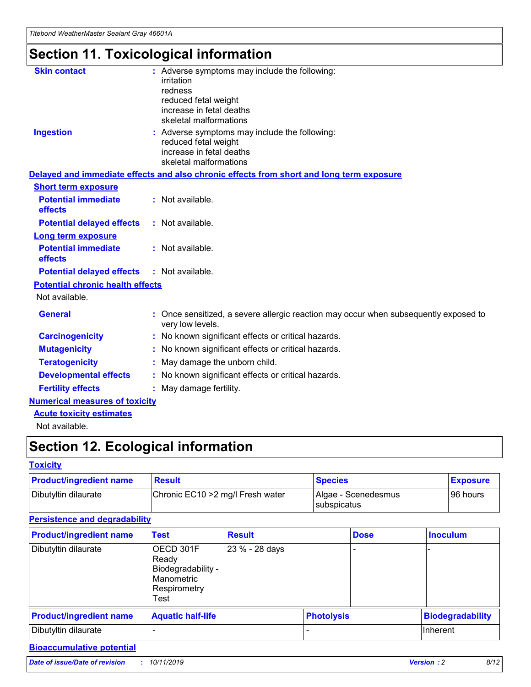## **Section 11. Toxicological information**

| <b>Skin contact</b>                     | : Adverse symptoms may include the following:<br>irritation<br>redness<br>reduced fetal weight<br>increase in fetal deaths<br>skeletal malformations |
|-----------------------------------------|------------------------------------------------------------------------------------------------------------------------------------------------------|
| <b>Ingestion</b>                        | : Adverse symptoms may include the following:<br>reduced fetal weight<br>increase in fetal deaths<br>skeletal malformations                          |
|                                         | Delayed and immediate effects and also chronic effects from short and long term exposure                                                             |
| <b>Short term exposure</b>              |                                                                                                                                                      |
| <b>Potential immediate</b><br>effects   | : Not available.                                                                                                                                     |
| <b>Potential delayed effects</b>        | : Not available.                                                                                                                                     |
| <b>Long term exposure</b>               |                                                                                                                                                      |
| <b>Potential immediate</b><br>effects   | : Not available.                                                                                                                                     |
| <b>Potential delayed effects</b>        | : Not available.                                                                                                                                     |
| <b>Potential chronic health effects</b> |                                                                                                                                                      |
| Not available.                          |                                                                                                                                                      |
| <b>General</b>                          | : Once sensitized, a severe allergic reaction may occur when subsequently exposed to<br>very low levels.                                             |
| <b>Carcinogenicity</b>                  | : No known significant effects or critical hazards.                                                                                                  |
| <b>Mutagenicity</b>                     | No known significant effects or critical hazards.                                                                                                    |
| <b>Teratogenicity</b>                   | May damage the unborn child.                                                                                                                         |
| <b>Developmental effects</b>            | No known significant effects or critical hazards.                                                                                                    |
| <b>Fertility effects</b>                | : May damage fertility.                                                                                                                              |
| <b>Numerical measures of toxicity</b>   |                                                                                                                                                      |
| <b>Acute toxicity estimates</b>         |                                                                                                                                                      |
|                                         |                                                                                                                                                      |

Not available.

## **Section 12. Ecological information**

#### **Toxicity**

| <b>Product/ingredient name</b> | <b>Result</b>                     | <b>Species</b>                       | <b>Exposure</b> |
|--------------------------------|-----------------------------------|--------------------------------------|-----------------|
| Dibutyltin dilaurate           | Chronic EC10 > 2 mg/l Fresh water | Algae - Scenedesmus<br>I subspicatus | l 96 hours i    |

#### **Persistence and degradability**

| <b>Product/ingredient name</b> | <b>Test</b>                                                                    | <b>Result</b>  |                   | <b>Dose</b> | <b>Inoculum</b>         |
|--------------------------------|--------------------------------------------------------------------------------|----------------|-------------------|-------------|-------------------------|
| Dibutyltin dilaurate           | OECD 301F<br>Ready<br>Biodegradability -<br>Manometric<br>Respirometry<br>Test | 23 % - 28 days |                   |             |                         |
| <b>Product/ingredient name</b> | <b>Aquatic half-life</b>                                                       |                | <b>Photolysis</b> |             | <b>Biodegradability</b> |
| Dibutyltin dilaurate           |                                                                                |                |                   |             | Inherent                |

#### **Bioaccumulative potential**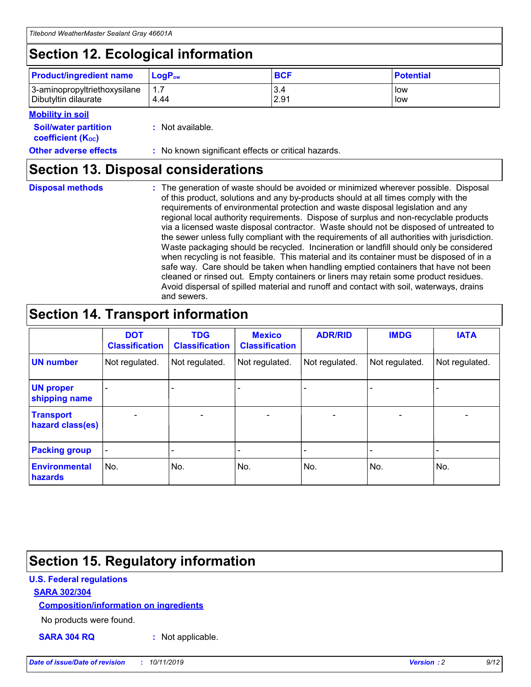## **Section 12. Ecological information**

| <b>Product/ingredient name</b> | $LoaPow$ | <b>BCF</b> | <b>Potential</b> |
|--------------------------------|----------|------------|------------------|
| 3-aminopropyltriethoxysilane   | 1.7      | 3.4        | low              |
| Dibutyltin dilaurate           | 4.44     | 2.91       | low              |

#### **Mobility in soil**

| <i></i>                                                       |                                                     |
|---------------------------------------------------------------|-----------------------------------------------------|
| <b>Soil/water partition</b><br>coefficient (K <sub>oc</sub> ) | : Not available.                                    |
| <b>Other adverse effects</b>                                  | : No known significant effects or critical hazards. |

### **Section 13. Disposal considerations**

**Disposal methods :**

The generation of waste should be avoided or minimized wherever possible. Disposal of this product, solutions and any by-products should at all times comply with the requirements of environmental protection and waste disposal legislation and any regional local authority requirements. Dispose of surplus and non-recyclable products via a licensed waste disposal contractor. Waste should not be disposed of untreated to the sewer unless fully compliant with the requirements of all authorities with jurisdiction. Waste packaging should be recycled. Incineration or landfill should only be considered when recycling is not feasible. This material and its container must be disposed of in a safe way. Care should be taken when handling emptied containers that have not been cleaned or rinsed out. Empty containers or liners may retain some product residues. Avoid dispersal of spilled material and runoff and contact with soil, waterways, drains and sewers.

## **Section 14. Transport information**

|                                      | <b>DOT</b><br><b>Classification</b> | <b>TDG</b><br><b>Classification</b> | <b>Mexico</b><br><b>Classification</b> | <b>ADR/RID</b>               | <b>IMDG</b>    | <b>IATA</b>    |
|--------------------------------------|-------------------------------------|-------------------------------------|----------------------------------------|------------------------------|----------------|----------------|
| <b>UN number</b>                     | Not regulated.                      | Not regulated.                      | Not regulated.                         | Not regulated.               | Not regulated. | Not regulated. |
| <b>UN proper</b><br>shipping name    |                                     |                                     |                                        |                              |                |                |
| <b>Transport</b><br>hazard class(es) | $\blacksquare$                      | $\overline{\phantom{0}}$            | $\overline{\phantom{a}}$               | $\qquad \qquad \blacksquare$ | $\blacksquare$ | $\blacksquare$ |
| <b>Packing group</b>                 | $\overline{\phantom{a}}$            | -                                   |                                        | -                            |                | -              |
| <b>Environmental</b><br>hazards      | No.                                 | No.                                 | No.                                    | No.                          | No.            | No.            |

## **Section 15. Regulatory information**

#### **U.S. Federal regulations**

#### **SARA 302/304**

#### **Composition/information on ingredients**

No products were found.

**SARA 304 RQ :** Not applicable.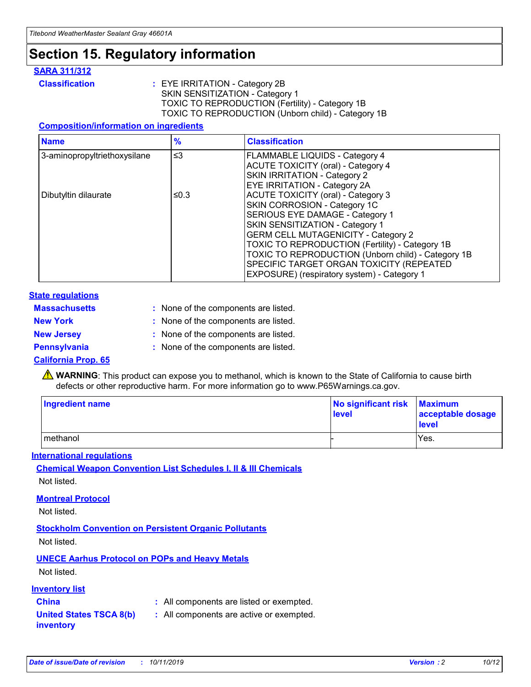## **Section 15. Regulatory information**

#### **SARA 311/312**

**Classification :** EYE IRRITATION - Category 2B SKIN SENSITIZATION - Category 1 TOXIC TO REPRODUCTION (Fertility) - Category 1B TOXIC TO REPRODUCTION (Unborn child) - Category 1B

#### **Composition/information on ingredients**

| <b>Name</b>                  | $\frac{9}{6}$ | <b>Classification</b>                                                                                                                                                                                                                                                                                                                  |  |
|------------------------------|---------------|----------------------------------------------------------------------------------------------------------------------------------------------------------------------------------------------------------------------------------------------------------------------------------------------------------------------------------------|--|
| 3-aminopropyltriethoxysilane | $\leq$ 3      | <b>FLAMMABLE LIQUIDS - Category 4</b><br><b>ACUTE TOXICITY (oral) - Category 4</b><br>SKIN IRRITATION - Category 2                                                                                                                                                                                                                     |  |
| Dibutyltin dilaurate         | ≤0.3          | EYE IRRITATION - Category 2A<br><b>ACUTE TOXICITY (oral) - Category 3</b><br>SKIN CORROSION - Category 1C<br>SERIOUS EYE DAMAGE - Category 1<br>SKIN SENSITIZATION - Category 1<br><b>GERM CELL MUTAGENICITY - Category 2</b><br>TOXIC TO REPRODUCTION (Fertility) - Category 1B<br>TOXIC TO REPRODUCTION (Unborn child) - Category 1B |  |
|                              |               | SPECIFIC TARGET ORGAN TOXICITY (REPEATED<br>EXPOSURE) (respiratory system) - Category 1                                                                                                                                                                                                                                                |  |

#### **State regulations**

| <b>Massachusetts</b> | : None of the components are listed. |
|----------------------|--------------------------------------|
| <b>New York</b>      | : None of the components are listed. |
| <b>New Jersey</b>    | : None of the components are listed. |
| Pennsylvania         | : None of the components are listed. |

#### **California Prop. 65**

**A** WARNING: This product can expose you to methanol, which is known to the State of California to cause birth defects or other reproductive harm. For more information go to www.P65Warnings.ca.gov.

| <b>Ingredient name</b> | No significant risk Maximum<br>level | acceptable dosage<br>level |
|------------------------|--------------------------------------|----------------------------|
| methanol               |                                      | Yes.                       |

#### **International regulations**

**Chemical Weapon Convention List Schedules I, II & III Chemicals** Not listed.

#### **Montreal Protocol**

Not listed.

#### **Stockholm Convention on Persistent Organic Pollutants**

Not listed.

#### **UNECE Aarhus Protocol on POPs and Heavy Metals**

Not listed.

#### **Inventory list**

### **China :** All components are listed or exempted.

**United States TSCA 8(b) inventory :** All components are active or exempted.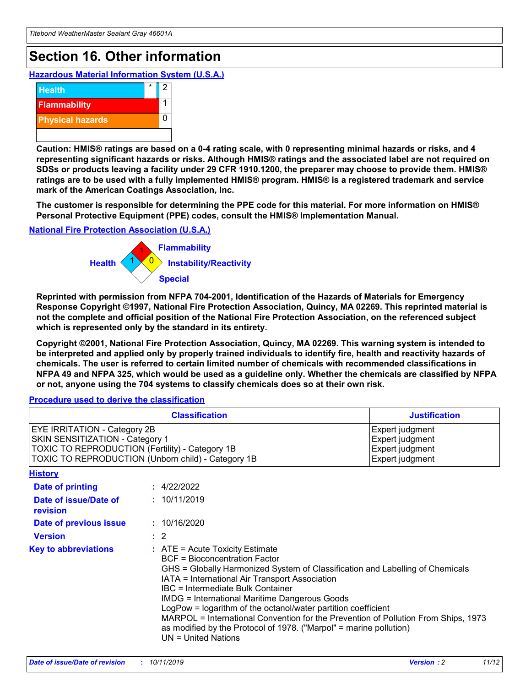## **Section 16. Other information**

**Hazardous Material Information System (U.S.A.)**



**Caution: HMIS® ratings are based on a 0-4 rating scale, with 0 representing minimal hazards or risks, and 4 representing significant hazards or risks. Although HMIS® ratings and the associated label are not required on SDSs or products leaving a facility under 29 CFR 1910.1200, the preparer may choose to provide them. HMIS® ratings are to be used with a fully implemented HMIS® program. HMIS® is a registered trademark and service mark of the American Coatings Association, Inc.**

**The customer is responsible for determining the PPE code for this material. For more information on HMIS® Personal Protective Equipment (PPE) codes, consult the HMIS® Implementation Manual.**

#### **National Fire Protection Association (U.S.A.)**



**Reprinted with permission from NFPA 704-2001, Identification of the Hazards of Materials for Emergency Response Copyright ©1997, National Fire Protection Association, Quincy, MA 02269. This reprinted material is not the complete and official position of the National Fire Protection Association, on the referenced subject which is represented only by the standard in its entirety.**

**Copyright ©2001, National Fire Protection Association, Quincy, MA 02269. This warning system is intended to be interpreted and applied only by properly trained individuals to identify fire, health and reactivity hazards of chemicals. The user is referred to certain limited number of chemicals with recommended classifications in NFPA 49 and NFPA 325, which would be used as a guideline only. Whether the chemicals are classified by NFPA or not, anyone using the 704 systems to classify chemicals does so at their own risk.**

#### **Procedure used to derive the classification**

| <b>Classification</b>                                                                                                                                                                  |                                                                                                                                                                                                                                                                   | <b>Justification</b>                                                                                                                                                                                                                                                                                       |  |
|----------------------------------------------------------------------------------------------------------------------------------------------------------------------------------------|-------------------------------------------------------------------------------------------------------------------------------------------------------------------------------------------------------------------------------------------------------------------|------------------------------------------------------------------------------------------------------------------------------------------------------------------------------------------------------------------------------------------------------------------------------------------------------------|--|
| <b>EYE IRRITATION - Category 2B</b><br>SKIN SENSITIZATION - Category 1<br><b>TOXIC TO REPRODUCTION (Fertility) - Category 1B</b><br>TOXIC TO REPRODUCTION (Unborn child) - Category 1B |                                                                                                                                                                                                                                                                   | Expert judgment<br>Expert judgment<br>Expert judgment<br>Expert judgment                                                                                                                                                                                                                                   |  |
| <b>History</b>                                                                                                                                                                         |                                                                                                                                                                                                                                                                   |                                                                                                                                                                                                                                                                                                            |  |
| <b>Date of printing</b>                                                                                                                                                                | : 4/22/2022                                                                                                                                                                                                                                                       |                                                                                                                                                                                                                                                                                                            |  |
| Date of issue/Date of<br>revision                                                                                                                                                      | : 10/11/2019                                                                                                                                                                                                                                                      |                                                                                                                                                                                                                                                                                                            |  |
| Date of previous issue                                                                                                                                                                 | : 10/16/2020                                                                                                                                                                                                                                                      |                                                                                                                                                                                                                                                                                                            |  |
| <b>Version</b>                                                                                                                                                                         | $\therefore$ 2                                                                                                                                                                                                                                                    |                                                                                                                                                                                                                                                                                                            |  |
| <b>Key to abbreviations</b>                                                                                                                                                            | $\therefore$ ATE = Acute Toxicity Estimate<br><b>BCF</b> = Bioconcentration Factor<br>IATA = International Air Transport Association<br><b>IBC</b> = Intermediate Bulk Container<br><b>IMDG = International Maritime Dangerous Goods</b><br>$UN = United Nations$ | GHS = Globally Harmonized System of Classification and Labelling of Chemicals<br>LogPow = logarithm of the octanol/water partition coefficient<br>MARPOL = International Convention for the Prevention of Pollution From Ships, 1973<br>as modified by the Protocol of 1978. ("Marpol" = marine pollution) |  |